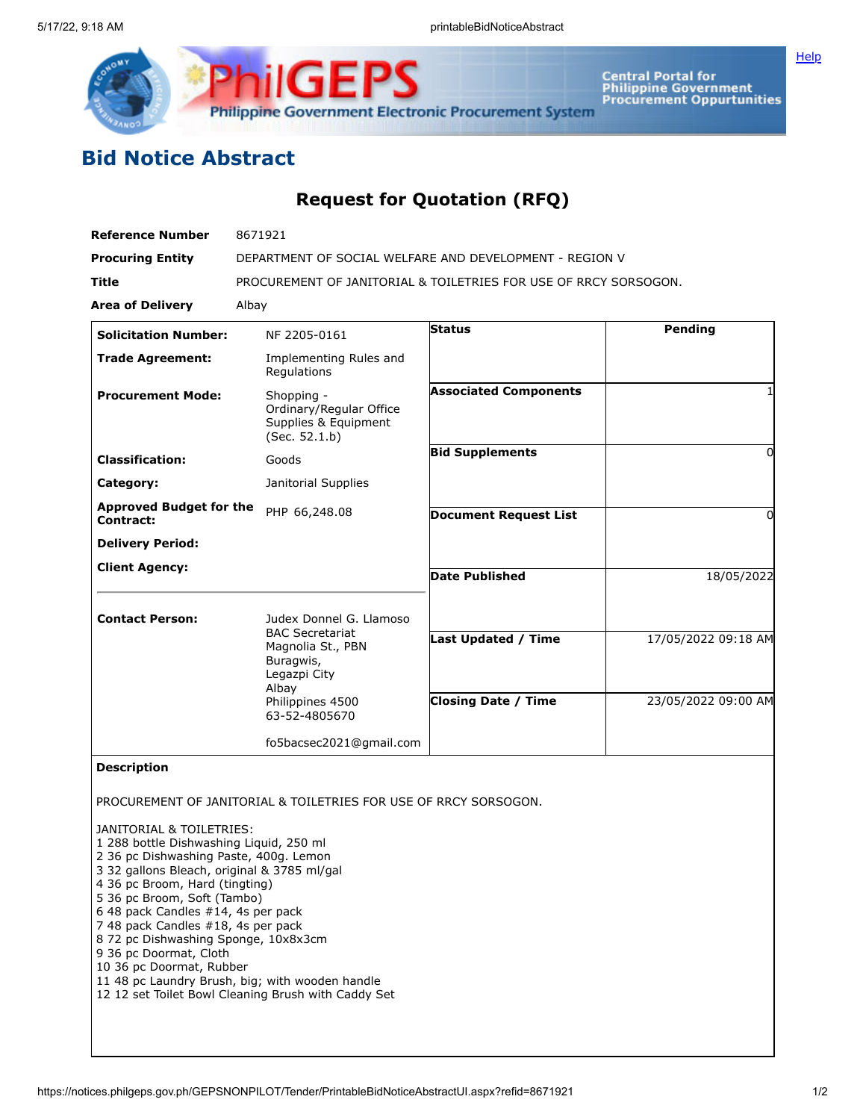

Central Portal for<br>Philippine Government<br>Procurement Oppurtunities

## **Bid Notice Abstract**

## **Request for Quotation (RFQ)**

| <b>Reference Number</b>                                                                                                                                                                                                                                                                                                                                                                                 | 8671921<br>DEPARTMENT OF SOCIAL WELFARE AND DEVELOPMENT - REGION V                                     |                              |                     |
|---------------------------------------------------------------------------------------------------------------------------------------------------------------------------------------------------------------------------------------------------------------------------------------------------------------------------------------------------------------------------------------------------------|--------------------------------------------------------------------------------------------------------|------------------------------|---------------------|
| <b>Procuring Entity</b>                                                                                                                                                                                                                                                                                                                                                                                 |                                                                                                        |                              |                     |
| <b>Title</b>                                                                                                                                                                                                                                                                                                                                                                                            | PROCUREMENT OF JANITORIAL & TOILETRIES FOR USE OF RRCY SORSOGON.                                       |                              |                     |
| <b>Area of Delivery</b>                                                                                                                                                                                                                                                                                                                                                                                 | Albay                                                                                                  |                              |                     |
| <b>Solicitation Number:</b>                                                                                                                                                                                                                                                                                                                                                                             | NF 2205-0161                                                                                           | <b>Status</b>                | Pending             |
| <b>Trade Agreement:</b>                                                                                                                                                                                                                                                                                                                                                                                 | Implementing Rules and<br>Regulations                                                                  |                              |                     |
| <b>Procurement Mode:</b>                                                                                                                                                                                                                                                                                                                                                                                | Shopping -<br>Ordinary/Regular Office<br>Supplies & Equipment<br>(Sec. 52.1.b)                         | <b>Associated Components</b> |                     |
| <b>Classification:</b>                                                                                                                                                                                                                                                                                                                                                                                  | Goods                                                                                                  | <b>Bid Supplements</b>       | 0                   |
| Category:                                                                                                                                                                                                                                                                                                                                                                                               | Janitorial Supplies                                                                                    |                              |                     |
| <b>Approved Budget for the</b><br><b>Contract:</b>                                                                                                                                                                                                                                                                                                                                                      | PHP 66,248.08                                                                                          | <b>Document Request List</b> | 0                   |
| <b>Delivery Period:</b>                                                                                                                                                                                                                                                                                                                                                                                 |                                                                                                        |                              |                     |
| <b>Client Agency:</b>                                                                                                                                                                                                                                                                                                                                                                                   |                                                                                                        | <b>Date Published</b>        | 18/05/2022          |
|                                                                                                                                                                                                                                                                                                                                                                                                         |                                                                                                        |                              |                     |
| <b>Contact Person:</b>                                                                                                                                                                                                                                                                                                                                                                                  | Judex Donnel G. Llamoso                                                                                |                              |                     |
|                                                                                                                                                                                                                                                                                                                                                                                                         | <b>BAC Secretariat</b><br>Magnolia St., PBN<br>Buragwis,<br>Legazpi City                               | <b>Last Updated / Time</b>   | 17/05/2022 09:18 AM |
|                                                                                                                                                                                                                                                                                                                                                                                                         | Albay<br>Philippines 4500<br>63-52-4805670                                                             | <b>Closing Date / Time</b>   | 23/05/2022 09:00 AM |
|                                                                                                                                                                                                                                                                                                                                                                                                         | fo5bacsec2021@gmail.com                                                                                |                              |                     |
| <b>Description</b>                                                                                                                                                                                                                                                                                                                                                                                      |                                                                                                        |                              |                     |
|                                                                                                                                                                                                                                                                                                                                                                                                         | PROCUREMENT OF JANITORIAL & TOILETRIES FOR USE OF RRCY SORSOGON.                                       |                              |                     |
| JANITORIAL & TOILETRIES:<br>1 288 bottle Dishwashing Liquid, 250 ml<br>2 36 pc Dishwashing Paste, 400g. Lemon<br>3 32 gallons Bleach, original & 3785 ml/gal<br>4 36 pc Broom, Hard (tingting)<br>5 36 pc Broom, Soft (Tambo)<br>6 48 pack Candles #14, 4s per pack<br>7 48 pack Candles #18, 4s per pack<br>8 72 pc Dishwashing Sponge, 10x8x3cm<br>9 36 pc Doormat, Cloth<br>10 36 pc Doormat, Rubber | 11 48 pc Laundry Brush, big; with wooden handle<br>12 12 set Toilet Bowl Cleaning Brush with Caddy Set |                              |                     |